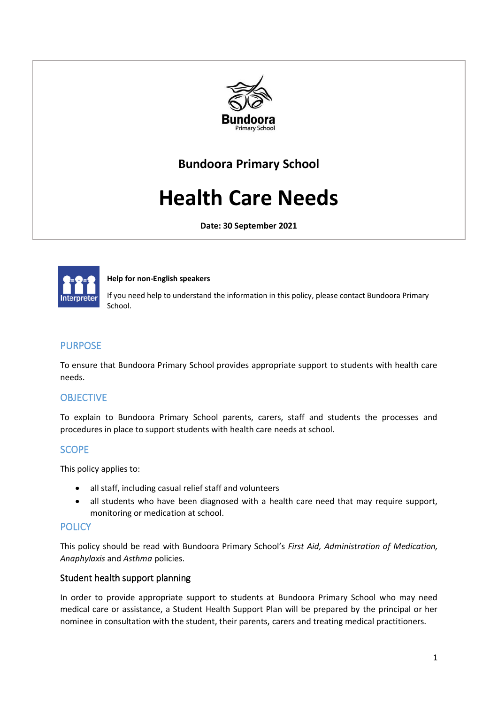

# **Bundoora Primary School**

# **Health Care Needs**

**Date: 30 September 2021**



#### **Help for non-English speakers**

If you need help to understand the information in this policy, please contact Bundoora Primary School.

#### PURPOSE

To ensure that Bundoora Primary School provides appropriate support to students with health care needs.

# **OBJECTIVE**

To explain to Bundoora Primary School parents, carers, staff and students the processes and procedures in place to support students with health care needs at school.

# **SCOPE**

This policy applies to:

- all staff, including casual relief staff and volunteers
- all students who have been diagnosed with a health care need that may require support, monitoring or medication at school.

# POLICY

This policy should be read with Bundoora Primary School's *First Aid, Administration of Medication, Anaphylaxis* and *Asthma* policies.

#### Student health support planning

In order to provide appropriate support to students at Bundoora Primary School who may need medical care or assistance, a Student Health Support Plan will be prepared by the principal or her nominee in consultation with the student, their parents, carers and treating medical practitioners.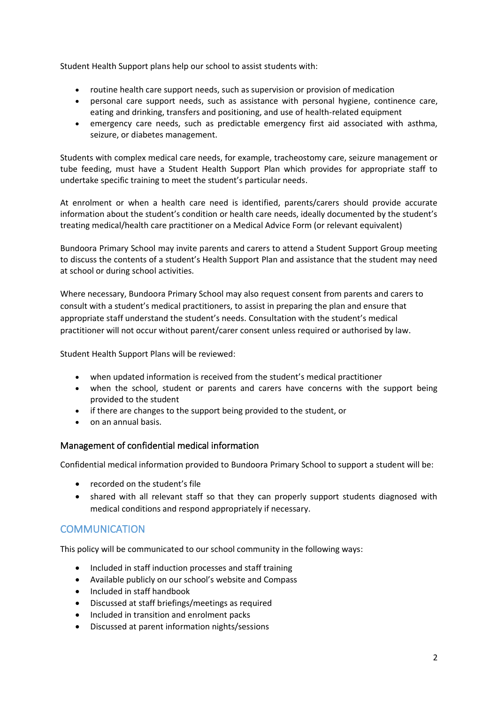Student Health Support plans help our school to assist students with:

- routine health care support needs, such as supervision or provision of medication
- personal care support needs, such as assistance with personal hygiene, continence care, eating and drinking, transfers and positioning, and use of health-related equipment
- emergency care needs, such as predictable emergency first aid associated with asthma, seizure, or diabetes management.

Students with complex medical care needs, for example, tracheostomy care, seizure management or tube feeding, must have a Student Health Support Plan which provides for appropriate staff to undertake specific training to meet the student's particular needs.

At enrolment or when a health care need is identified, parents/carers should provide accurate information about the student's condition or health care needs, ideally documented by the student's treating medical/health care practitioner on a Medical Advice Form (or relevant equivalent)

Bundoora Primary School may invite parents and carers to attend a Student Support Group meeting to discuss the contents of a student's Health Support Plan and assistance that the student may need at school or during school activities.

Where necessary, Bundoora Primary School may also request consent from parents and carers to consult with a student's medical practitioners, to assist in preparing the plan and ensure that appropriate staff understand the student's needs. Consultation with the student's medical practitioner will not occur without parent/carer consent unless required or authorised by law.

Student Health Support Plans will be reviewed:

- when updated information is received from the student's medical practitioner
- when the school, student or parents and carers have concerns with the support being provided to the student
- if there are changes to the support being provided to the student, or
- on an annual basis.

#### Management of confidential medical information

Confidential medical information provided to Bundoora Primary School to support a student will be:

- recorded on the student's file
- shared with all relevant staff so that they can properly support students diagnosed with medical conditions and respond appropriately if necessary.

# **COMMUNICATION**

This policy will be communicated to our school community in the following ways:

- Included in staff induction processes and staff training
- Available publicly on our school's website and Compass
- Included in staff handbook
- Discussed at staff briefings/meetings as required
- Included in transition and enrolment packs
- Discussed at parent information nights/sessions